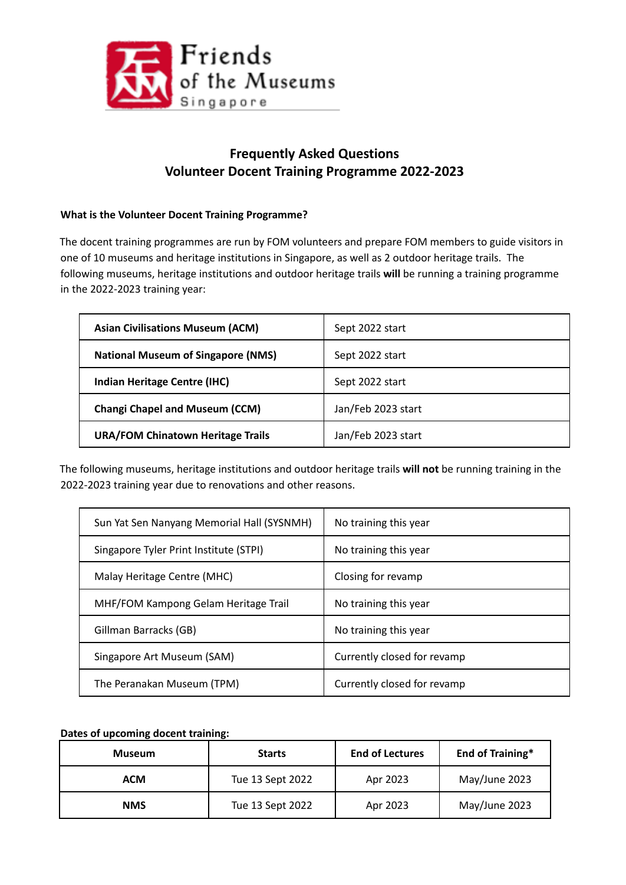

# **Frequently Asked Questions Volunteer Docent Training Programme 2022-2023**

## **What is the Volunteer Docent Training Programme?**

The docent training programmes are run by FOM volunteers and prepare FOM members to guide visitors in one of 10 museums and heritage institutions in Singapore, as well as 2 outdoor heritage trails. The following museums, heritage institutions and outdoor heritage trails **will** be running a training programme in the 2022-2023 training year:

| <b>Asian Civilisations Museum (ACM)</b>   | Sept 2022 start    |
|-------------------------------------------|--------------------|
| <b>National Museum of Singapore (NMS)</b> | Sept 2022 start    |
| Indian Heritage Centre (IHC)              | Sept 2022 start    |
| <b>Changi Chapel and Museum (CCM)</b>     | Jan/Feb 2023 start |
| <b>URA/FOM Chinatown Heritage Trails</b>  | Jan/Feb 2023 start |

The following museums, heritage institutions and outdoor heritage trails **will not** be running training in the 2022-2023 training year due to renovations and other reasons.

| Sun Yat Sen Nanyang Memorial Hall (SYSNMH) | No training this year       |
|--------------------------------------------|-----------------------------|
| Singapore Tyler Print Institute (STPI)     | No training this year       |
| Malay Heritage Centre (MHC)                | Closing for revamp          |
| MHF/FOM Kampong Gelam Heritage Trail       | No training this year       |
| Gillman Barracks (GB)                      | No training this year       |
| Singapore Art Museum (SAM)                 | Currently closed for revamp |
| The Peranakan Museum (TPM)                 | Currently closed for revamp |

**Dates of upcoming docent training:**

| <b>Museum</b> | <b>Starts</b>    | <b>End of Lectures</b> | <b>End of Training*</b> |
|---------------|------------------|------------------------|-------------------------|
| <b>ACM</b>    | Tue 13 Sept 2022 | Apr 2023               | May/June 2023           |
| <b>NMS</b>    | Tue 13 Sept 2022 | Apr 2023               | May/June 2023           |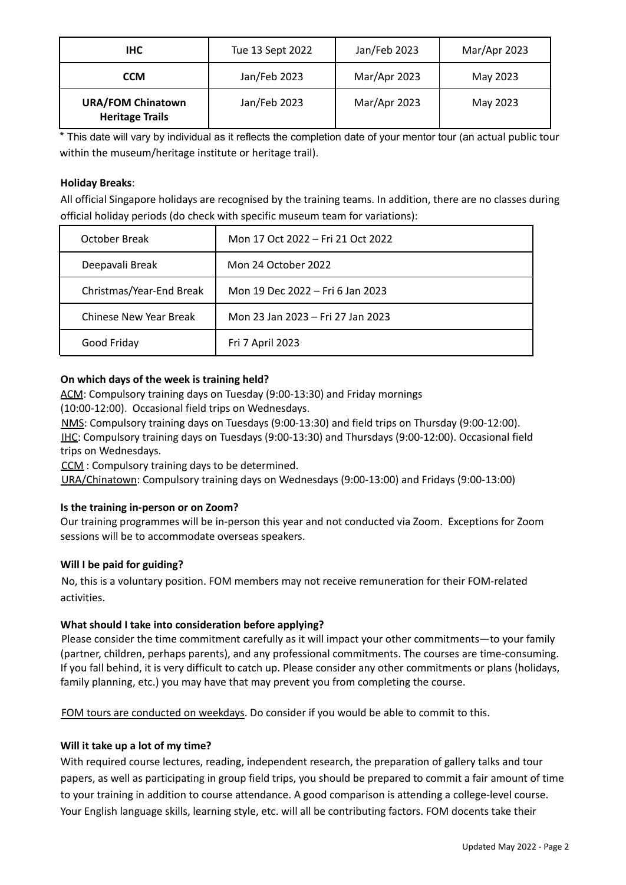| IHC.                                               | Tue 13 Sept 2022 | Jan/Feb 2023 | Mar/Apr 2023 |
|----------------------------------------------------|------------------|--------------|--------------|
| <b>CCM</b>                                         | Jan/Feb 2023     | Mar/Apr 2023 | May 2023     |
| <b>URA/FOM Chinatown</b><br><b>Heritage Trails</b> | Jan/Feb 2023     | Mar/Apr 2023 | May 2023     |

\* This date will vary by individual as it reflects the completion date of your mentor tour (an actual public tour within the museum/heritage institute or heritage trail).

## **Holiday Breaks**:

All official Singapore holidays are recognised by the training teams. In addition, there are no classes during official holiday periods (do check with specific museum team for variations):

| October Break            | Mon 17 Oct 2022 – Fri 21 Oct 2022 |
|--------------------------|-----------------------------------|
| Deepavali Break          | Mon 24 October 2022               |
| Christmas/Year-End Break | Mon 19 Dec 2022 – Fri 6 Jan 2023  |
| Chinese New Year Break   | Mon 23 Jan 2023 – Fri 27 Jan 2023 |
| Good Friday              | Fri 7 April 2023                  |

#### **On which days of the week is training held?**

ACM: Compulsory training days on Tuesday (9:00-13:30) and Friday mornings

(10:00-12:00). Occasional field trips on Wednesdays.

NMS: Compulsory training days on Tuesdays (9:00-13:30) and field trips on Thursday (9:00-12:00). IHC: Compulsory training days on Tuesdays (9:00-13:30) and Thursdays (9:00-12:00). Occasional field trips on Wednesdays.

CCM : Compulsory training days to be determined.

URA/Chinatown: Compulsory training days on Wednesdays (9:00-13:00) and Fridays (9:00-13:00)

## **Is the training in-person or on Zoom?**

Our training programmes will be in-person this year and not conducted via Zoom. Exceptions for Zoom sessions will be to accommodate overseas speakers.

#### **Will I be paid for guiding?**

No, this is a voluntary position. FOM members may not receive remuneration for their FOM-related activities.

#### **What should I take into consideration before applying?**

Please consider the time commitment carefully as it will impact your other commitments—to your family (partner, children, perhaps parents), and any professional commitments. The courses are time-consuming. If you fall behind, it is very difficult to catch up. Please consider any other commitments or plans (holidays, family planning, etc.) you may have that may prevent you from completing the course.

FOM tours are conducted on weekdays. Do consider if you would be able to commit to this.

## **Will it take up a lot of my time?**

With required course lectures, reading, independent research, the preparation of gallery talks and tour papers, as well as participating in group field trips, you should be prepared to commit a fair amount of time to your training in addition to course attendance. A good comparison is attending a college-level course. Your English language skills, learning style, etc. will all be contributing factors. FOM docents take their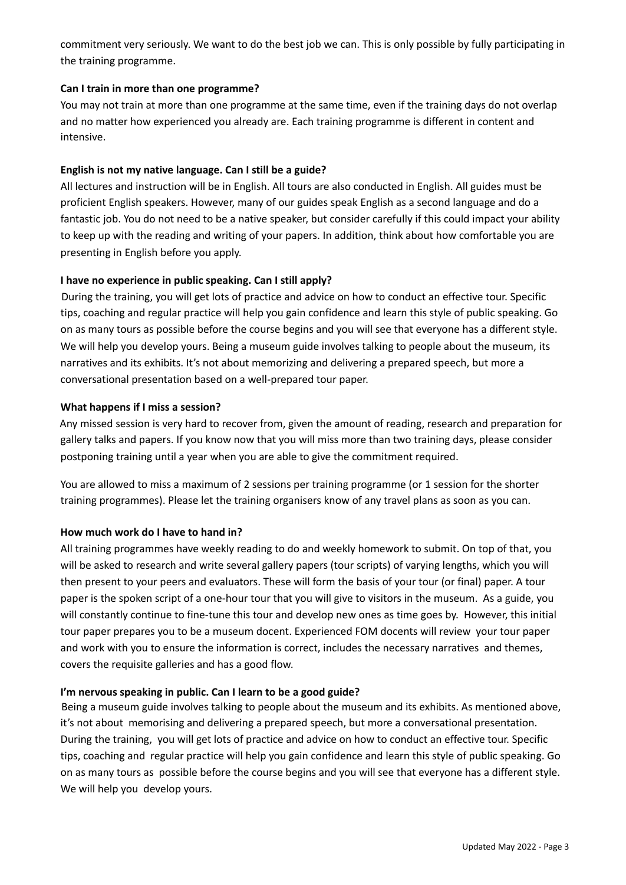commitment very seriously. We want to do the best job we can. This is only possible by fully participating in the training programme.

#### **Can I train in more than one programme?**

You may not train at more than one programme at the same time, even if the training days do not overlap and no matter how experienced you already are. Each training programme is different in content and intensive.

## **English is not my native language. Can I still be a guide?**

All lectures and instruction will be in English. All tours are also conducted in English. All guides must be proficient English speakers. However, many of our guides speak English as a second language and do a fantastic job. You do not need to be a native speaker, but consider carefully if this could impact your ability to keep up with the reading and writing of your papers. In addition, think about how comfortable you are presenting in English before you apply.

#### **I have no experience in public speaking. Can I still apply?**

During the training, you will get lots of practice and advice on how to conduct an effective tour. Specific tips, coaching and regular practice will help you gain confidence and learn this style of public speaking. Go on as many tours as possible before the course begins and you will see that everyone has a different style. We will help you develop yours. Being a museum guide involves talking to people about the museum, its narratives and its exhibits. It's not about memorizing and delivering a prepared speech, but more a conversational presentation based on a well-prepared tour paper.

#### **What happens if I miss a session?**

Any missed session is very hard to recover from, given the amount of reading, research and preparation for gallery talks and papers. If you know now that you will miss more than two training days, please consider postponing training until a year when you are able to give the commitment required.

You are allowed to miss a maximum of 2 sessions per training programme (or 1 session for the shorter training programmes). Please let the training organisers know of any travel plans as soon as you can.

## **How much work do I have to hand in?**

All training programmes have weekly reading to do and weekly homework to submit. On top of that, you will be asked to research and write several gallery papers (tour scripts) of varying lengths, which you will then present to your peers and evaluators. These will form the basis of your tour (or final) paper. A tour paper is the spoken script of a one-hour tour that you will give to visitors in the museum. As a guide, you will constantly continue to fine-tune this tour and develop new ones as time goes by. However, this initial tour paper prepares you to be a museum docent. Experienced FOM docents will review your tour paper and work with you to ensure the information is correct, includes the necessary narratives and themes, covers the requisite galleries and has a good flow.

## **I'm nervous speaking in public. Can I learn to be a good guide?**

Being a museum guide involves talking to people about the museum and its exhibits. As mentioned above, it's not about memorising and delivering a prepared speech, but more a conversational presentation. During the training, you will get lots of practice and advice on how to conduct an effective tour. Specific tips, coaching and regular practice will help you gain confidence and learn this style of public speaking. Go on as many tours as possible before the course begins and you will see that everyone has a different style. We will help you develop yours.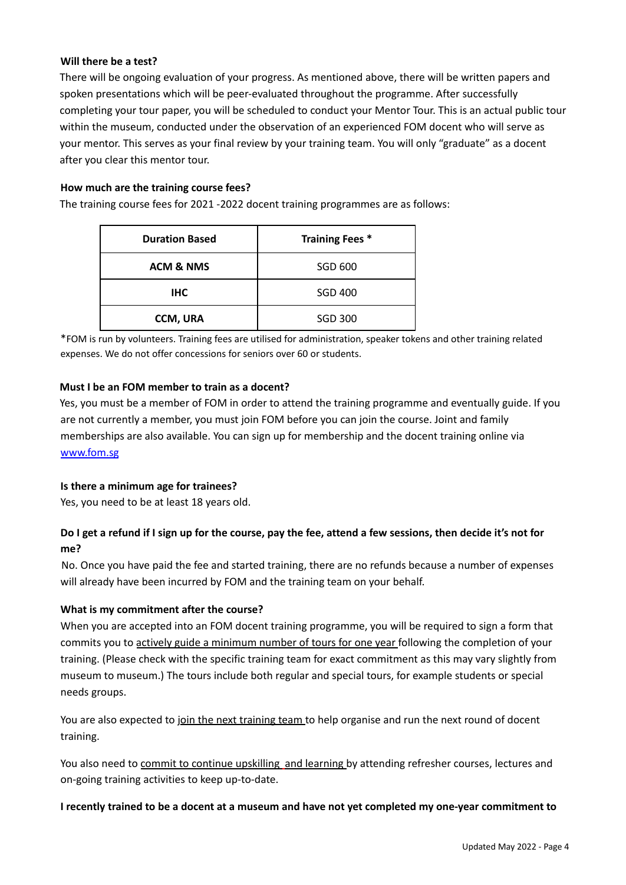#### **Will there be a test?**

There will be ongoing evaluation of your progress. As mentioned above, there will be written papers and spoken presentations which will be peer-evaluated throughout the programme. After successfully completing your tour paper, you will be scheduled to conduct your Mentor Tour. This is an actual public tour within the museum, conducted under the observation of an experienced FOM docent who will serve as your mentor. This serves as your final review by your training team. You will only "graduate" as a docent after you clear this mentor tour.

#### **How much are the training course fees?**

The training course fees for 2021 -2022 docent training programmes are as follows:

| <b>Duration Based</b> | <b>Training Fees *</b> |
|-----------------------|------------------------|
| <b>ACM &amp; NMS</b>  | SGD 600                |
| <b>IHC</b>            | <b>SGD 400</b>         |
| <b>CCM, URA</b>       | <b>SGD 300</b>         |

\*FOM is run by volunteers. Training fees are utilised for administration, speaker tokens and other training related expenses. We do not offer concessions for seniors over 60 or students.

#### **Must I be an FOM member to train as a docent?**

Yes, you must be a member of FOM in order to attend the training programme and eventually guide. If you are not currently a member, you must join FOM before you can join the course. Joint and family memberships are also available. You can sign up for membership and the docent training online via www.fom.sg

#### **Is there a minimum age for trainees?**

Yes, you need to be at least 18 years old.

## Do I get a refund if I sign up for the course, pay the fee, attend a few sessions, then decide it's not for **me?**

No. Once you have paid the fee and started training, there are no refunds because a number of expenses will already have been incurred by FOM and the training team on your behalf.

## **What is my commitment after the course?**

When you are accepted into an FOM docent training programme, you will be required to sign a form that commits you to actively guide a minimum number of tours for one year following the completion of your training. (Please check with the specific training team for exact commitment as this may vary slightly from museum to museum.) The tours include both regular and special tours, for example students or special needs groups.

You are also expected to join the next training team to help organise and run the next round of docent training.

You also need to commit to continue upskilling and learning by attending refresher courses, lectures and on-going training activities to keep up-to-date.

#### I recently trained to be a docent at a museum and have not yet completed my one-year commitment to